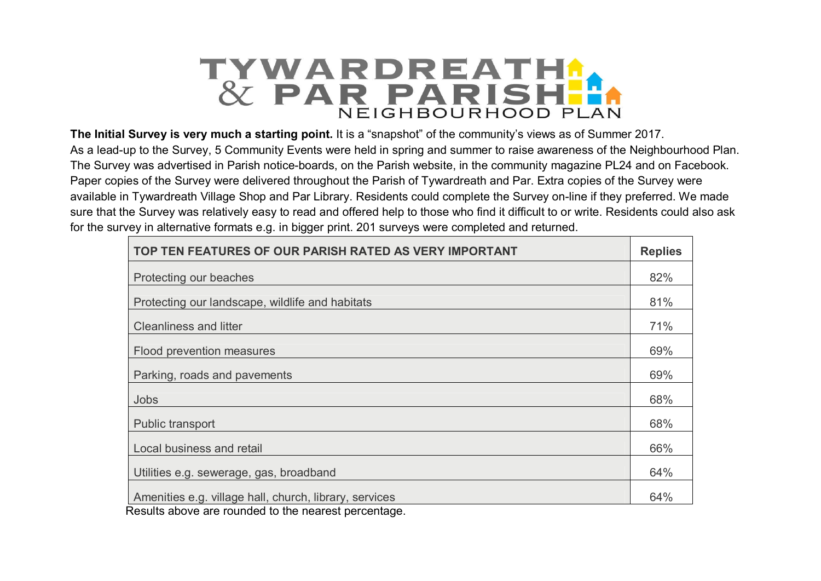

**The Initial Survey is very much a starting point.** It is a "snapshot" of the community's views as of Summer 2017. As a lead-up to the Survey, 5 Community Events were held in spring and summer to raise awareness of the Neighbourhood Plan. The Survey was advertised in Parish notice-boards, on the Parish website, in the community magazine PL24 and on Facebook. Paper copies of the Survey were delivered throughout the Parish of Tywardreath and Par. Extra copies of the Survey were available in Tywardreath Village Shop and Par Library. Residents could complete the Survey on-line if they preferred. We made sure that the Survey was relatively easy to read and offered help to those who find it difficult to or write. Residents could also ask for the survey in alternative formats e.g. in bigger print. 201 surveys were completed and returned.

| TOP TEN FEATURES OF OUR PARISH RATED AS VERY IMPORTANT                                                        | <b>Replies</b> |
|---------------------------------------------------------------------------------------------------------------|----------------|
| Protecting our beaches                                                                                        | 82%            |
| Protecting our landscape, wildlife and habitats                                                               | 81%            |
| <b>Cleanliness and litter</b>                                                                                 | 71%            |
| Flood prevention measures                                                                                     | 69%            |
| Parking, roads and pavements                                                                                  | 69%            |
| <b>Jobs</b>                                                                                                   | 68%            |
| Public transport                                                                                              | 68%            |
| Local business and retail                                                                                     | 66%            |
| Utilities e.g. sewerage, gas, broadband                                                                       | 64%            |
| Amenities e.g. village hall, church, library, services<br>Desulta abous are reunded to the pearent persontage | 64%            |

Results above are rounded to the nearest percentage.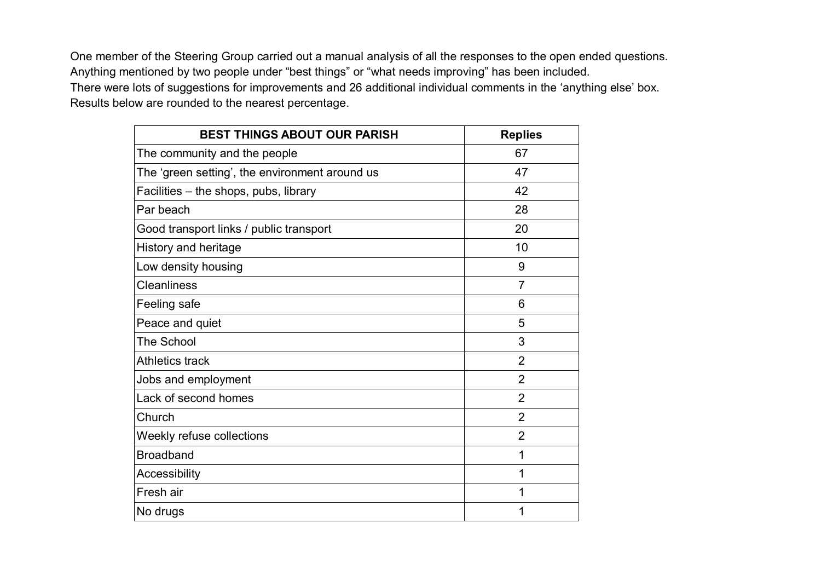One member of the Steering Group carried out a manual analysis of all the responses to the open ended questions. Anything mentioned by two people under "best things" or "what needs improving" has been included. There were lots of suggestions for improvements and 26 additional individual comments in the 'anything else' box. Results below are rounded to the nearest percentage.

| <b>BEST THINGS ABOUT OUR PARISH</b>            | <b>Replies</b> |
|------------------------------------------------|----------------|
| The community and the people                   | 67             |
| The 'green setting', the environment around us | 47             |
| Facilities - the shops, pubs, library          | 42             |
| Par beach                                      | 28             |
| Good transport links / public transport        | 20             |
| <b>History and heritage</b>                    | 10             |
| Low density housing                            | 9              |
| <b>Cleanliness</b>                             | $\overline{7}$ |
| Feeling safe                                   | 6              |
| Peace and quiet                                | 5              |
| <b>The School</b>                              | 3              |
| <b>Athletics track</b>                         | $\overline{2}$ |
| Jobs and employment                            | $\overline{2}$ |
| Lack of second homes                           | $\overline{2}$ |
| Church                                         | $\overline{2}$ |
| Weekly refuse collections                      | $\overline{2}$ |
| <b>Broadband</b>                               | 1              |
| Accessibility                                  | 1              |
| Fresh air                                      | 1              |
| No drugs                                       | 1              |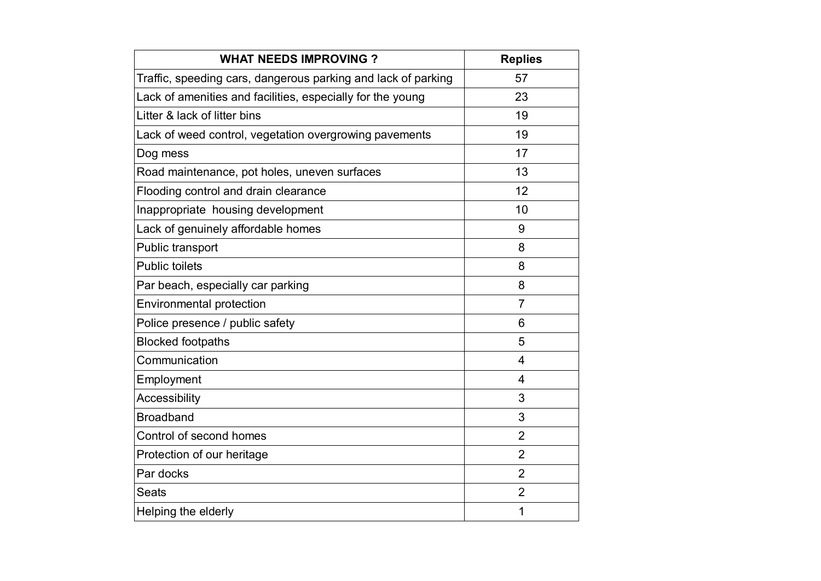| <b>WHAT NEEDS IMPROVING?</b>                                  | <b>Replies</b> |
|---------------------------------------------------------------|----------------|
| Traffic, speeding cars, dangerous parking and lack of parking | 57             |
| Lack of amenities and facilities, especially for the young    | 23             |
| Litter & lack of litter bins                                  | 19             |
| Lack of weed control, vegetation overgrowing pavements        | 19             |
| Dog mess                                                      | 17             |
| Road maintenance, pot holes, uneven surfaces                  | 13             |
| Flooding control and drain clearance                          | 12             |
| Inappropriate housing development                             | 10             |
| Lack of genuinely affordable homes                            | 9              |
| Public transport                                              | 8              |
| <b>Public toilets</b>                                         | 8              |
| Par beach, especially car parking                             | 8              |
| <b>Environmental protection</b>                               | $\overline{7}$ |
| Police presence / public safety                               | 6              |
| <b>Blocked footpaths</b>                                      | 5              |
| Communication                                                 | $\overline{4}$ |
| Employment                                                    | 4              |
| <b>Accessibility</b>                                          | 3              |
| <b>Broadband</b>                                              | 3              |
| Control of second homes                                       | $\overline{2}$ |
| Protection of our heritage                                    | $\overline{2}$ |
| Par docks                                                     | $\overline{2}$ |
| <b>Seats</b>                                                  | $\overline{2}$ |
| Helping the elderly                                           | 1              |